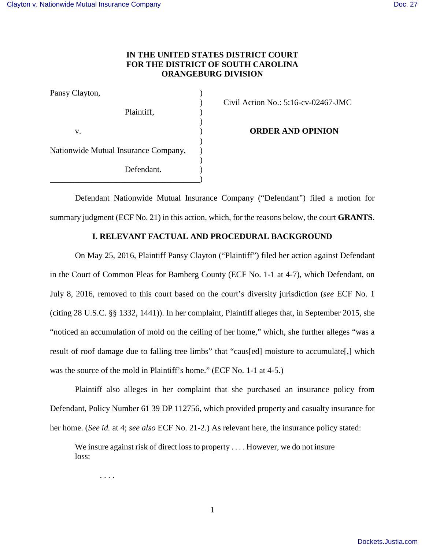# **IN THE UNITED STATES DISTRICT COURT FOR THE DISTRICT OF SOUTH CAROLINA ORANGEBURG DIVISION**

| Pansy Clayton,                       |  |
|--------------------------------------|--|
|                                      |  |
| Plaintiff,                           |  |
|                                      |  |
| V.                                   |  |
|                                      |  |
| Nationwide Mutual Insurance Company, |  |
|                                      |  |
| Defendant.                           |  |
|                                      |  |

) Civil Action No.: 5:16-cv-02467-JMC

**ORDER AND OPINION** 

Defendant Nationwide Mutual Insurance Company ("Defendant") filed a motion for summary judgment (ECF No. 21) in this action, which, for the reasons below, the court **GRANTS**.

## **I. RELEVANT FACTUAL AND PROCEDURAL BACKGROUND**

On May 25, 2016, Plaintiff Pansy Clayton ("Plaintiff") filed her action against Defendant in the Court of Common Pleas for Bamberg County (ECF No. 1-1 at 4-7), which Defendant, on July 8, 2016, removed to this court based on the court's diversity jurisdiction (*see* ECF No. 1 (citing 28 U.S.C. §§ 1332, 1441)). In her complaint, Plaintiff alleges that, in September 2015, she "noticed an accumulation of mold on the ceiling of her home," which, she further alleges "was a result of roof damage due to falling tree limbs" that "caus[ed] moisture to accumulate[,] which was the source of the mold in Plaintiff's home." (ECF No. 1-1 at 4-5.)

Plaintiff also alleges in her complaint that she purchased an insurance policy from Defendant, Policy Number 61 39 DP 112756, which provided property and casualty insurance for her home. (*See id.* at 4; *see also* ECF No. 21-2.) As relevant here, the insurance policy stated:

We insure against risk of direct loss to property . . . . However, we do not insure loss:

. . . .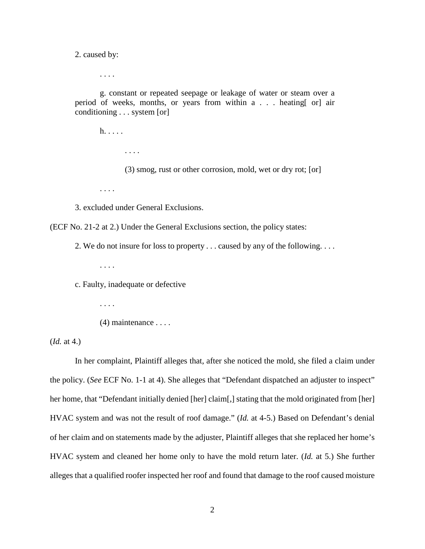2. caused by:

. . . .

g. constant or repeated seepage or leakage of water or steam over a period of weeks, months, or years from within a . . . heating[ or] air conditioning . . . system [or]

 h. . . . . . . . . (3) smog, rust or other corrosion, mold, wet or dry rot; [or] . . . .

3. excluded under General Exclusions.

(ECF No. 21-2 at 2.) Under the General Exclusions section, the policy states:

2. We do not insure for loss to property . . . caused by any of the following. . . .

. . . .

c. Faulty, inadequate or defective

 . . . .  $(4)$  maintenance  $\dots$ 

(*Id.* at 4.)

In her complaint, Plaintiff alleges that, after she noticed the mold, she filed a claim under the policy. (*See* ECF No. 1-1 at 4). She alleges that "Defendant dispatched an adjuster to inspect" her home, that "Defendant initially denied [her] claim[,] stating that the mold originated from [her] HVAC system and was not the result of roof damage." (*Id.* at 4-5.) Based on Defendant's denial of her claim and on statements made by the adjuster, Plaintiff alleges that she replaced her home's HVAC system and cleaned her home only to have the mold return later. (*Id.* at 5.) She further alleges that a qualified roofer inspected her roof and found that damage to the roof caused moisture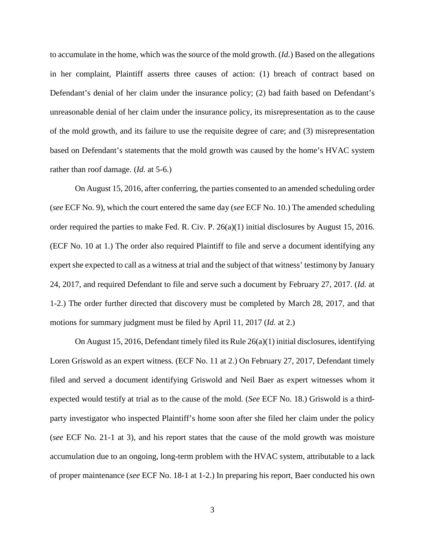to accumulate in the home, which was the source of the mold growth. (*Id.*) Based on the allegations in her complaint, Plaintiff asserts three causes of action: (1) breach of contract based on Defendant's denial of her claim under the insurance policy; (2) bad faith based on Defendant's unreasonable denial of her claim under the insurance policy, its misrepresentation as to the cause of the mold growth, and its failure to use the requisite degree of care; and (3) misrepresentation based on Defendant's statements that the mold growth was caused by the home's HVAC system rather than roof damage. (*Id.* at 5-6.)

On August 15, 2016, after conferring, the parties consented to an amended scheduling order (*see* ECF No. 9), which the court entered the same day (*see* ECF No. 10.) The amended scheduling order required the parties to make Fed. R. Civ. P. 26(a)(1) initial disclosures by August 15, 2016. (ECF No. 10 at 1.) The order also required Plaintiff to file and serve a document identifying any expert she expected to call as a witness at trial and the subject of that witness' testimony by January 24, 2017, and required Defendant to file and serve such a document by February 27, 2017. (*Id.* at 1-2.) The order further directed that discovery must be completed by March 28, 2017, and that motions for summary judgment must be filed by April 11, 2017 (*Id.* at 2.)

On August 15, 2016, Defendant timely filed its Rule 26(a)(1) initial disclosures, identifying Loren Griswold as an expert witness. (ECF No. 11 at 2.) On February 27, 2017, Defendant timely filed and served a document identifying Griswold and Neil Baer as expert witnesses whom it expected would testify at trial as to the cause of the mold. (*See* ECF No. 18.) Griswold is a thirdparty investigator who inspected Plaintiff's home soon after she filed her claim under the policy (*see* ECF No. 21-1 at 3), and his report states that the cause of the mold growth was moisture accumulation due to an ongoing, long-term problem with the HVAC system, attributable to a lack of proper maintenance (*see* ECF No. 18-1 at 1-2.) In preparing his report, Baer conducted his own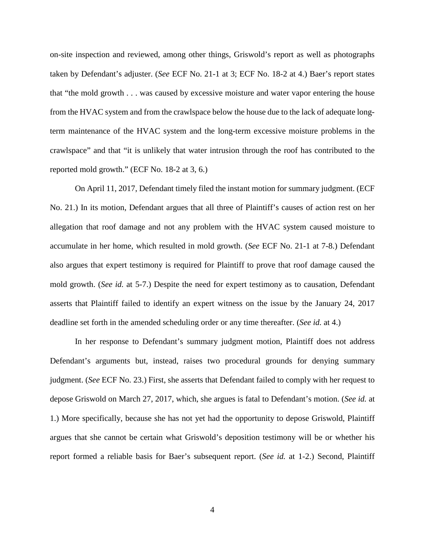on-site inspection and reviewed, among other things, Griswold's report as well as photographs taken by Defendant's adjuster. (*See* ECF No. 21-1 at 3; ECF No. 18-2 at 4.) Baer's report states that "the mold growth . . . was caused by excessive moisture and water vapor entering the house from the HVAC system and from the crawlspace below the house due to the lack of adequate longterm maintenance of the HVAC system and the long-term excessive moisture problems in the crawlspace" and that "it is unlikely that water intrusion through the roof has contributed to the reported mold growth." (ECF No. 18-2 at 3, 6.)

On April 11, 2017, Defendant timely filed the instant motion for summary judgment. (ECF No. 21.) In its motion, Defendant argues that all three of Plaintiff's causes of action rest on her allegation that roof damage and not any problem with the HVAC system caused moisture to accumulate in her home, which resulted in mold growth. (*See* ECF No. 21-1 at 7-8.) Defendant also argues that expert testimony is required for Plaintiff to prove that roof damage caused the mold growth. (*See id.* at 5-7.) Despite the need for expert testimony as to causation, Defendant asserts that Plaintiff failed to identify an expert witness on the issue by the January 24, 2017 deadline set forth in the amended scheduling order or any time thereafter. (*See id.* at 4.)

In her response to Defendant's summary judgment motion, Plaintiff does not address Defendant's arguments but, instead, raises two procedural grounds for denying summary judgment. (*See* ECF No. 23.) First, she asserts that Defendant failed to comply with her request to depose Griswold on March 27, 2017, which, she argues is fatal to Defendant's motion. (*See id.* at 1.) More specifically, because she has not yet had the opportunity to depose Griswold, Plaintiff argues that she cannot be certain what Griswold's deposition testimony will be or whether his report formed a reliable basis for Baer's subsequent report. (*See id.* at 1-2.) Second, Plaintiff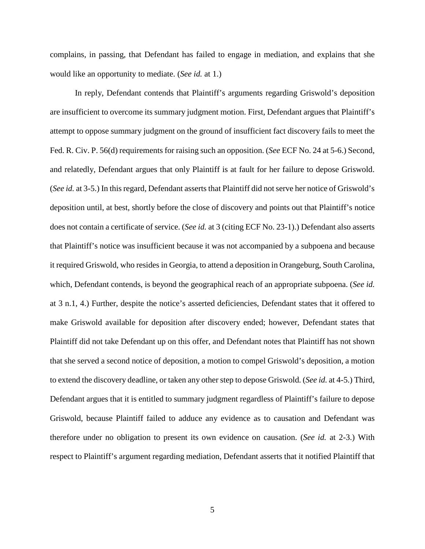complains, in passing, that Defendant has failed to engage in mediation, and explains that she would like an opportunity to mediate. (*See id.* at 1.)

In reply, Defendant contends that Plaintiff's arguments regarding Griswold's deposition are insufficient to overcome its summary judgment motion. First, Defendant argues that Plaintiff's attempt to oppose summary judgment on the ground of insufficient fact discovery fails to meet the Fed. R. Civ. P. 56(d) requirements for raising such an opposition. (*See* ECF No. 24 at 5-6.) Second, and relatedly, Defendant argues that only Plaintiff is at fault for her failure to depose Griswold. (*See id.* at 3-5.) In this regard, Defendant asserts that Plaintiff did not serve her notice of Griswold's deposition until, at best, shortly before the close of discovery and points out that Plaintiff's notice does not contain a certificate of service. (*See id.* at 3 (citing ECF No. 23-1).) Defendant also asserts that Plaintiff's notice was insufficient because it was not accompanied by a subpoena and because it required Griswold, who resides in Georgia, to attend a deposition in Orangeburg, South Carolina, which, Defendant contends, is beyond the geographical reach of an appropriate subpoena. (*See id.* at 3 n.1, 4.) Further, despite the notice's asserted deficiencies, Defendant states that it offered to make Griswold available for deposition after discovery ended; however, Defendant states that Plaintiff did not take Defendant up on this offer, and Defendant notes that Plaintiff has not shown that she served a second notice of deposition, a motion to compel Griswold's deposition, a motion to extend the discovery deadline, or taken any other step to depose Griswold. (*See id.* at 4-5.) Third, Defendant argues that it is entitled to summary judgment regardless of Plaintiff's failure to depose Griswold, because Plaintiff failed to adduce any evidence as to causation and Defendant was therefore under no obligation to present its own evidence on causation. (*See id.* at 2-3.) With respect to Plaintiff's argument regarding mediation, Defendant asserts that it notified Plaintiff that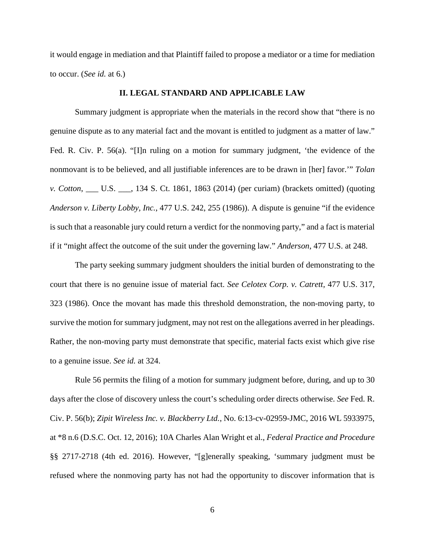it would engage in mediation and that Plaintiff failed to propose a mediator or a time for mediation to occur. (*See id.* at 6.)

### **II. LEGAL STANDARD AND APPLICABLE LAW**

Summary judgment is appropriate when the materials in the record show that "there is no genuine dispute as to any material fact and the movant is entitled to judgment as a matter of law." Fed. R. Civ. P. 56(a). "[I]n ruling on a motion for summary judgment, 'the evidence of the nonmovant is to be believed, and all justifiable inferences are to be drawn in [her] favor.'" *Tolan v. Cotton*, \_\_\_ U.S. \_\_\_, 134 S. Ct. 1861, 1863 (2014) (per curiam) (brackets omitted) (quoting *Anderson v. Liberty Lobby, Inc.*, 477 U.S. 242, 255 (1986)). A dispute is genuine "if the evidence is such that a reasonable jury could return a verdict for the nonmoving party," and a fact is material if it "might affect the outcome of the suit under the governing law." *Anderson*, 477 U.S. at 248.

The party seeking summary judgment shoulders the initial burden of demonstrating to the court that there is no genuine issue of material fact. *See Celotex Corp. v. Catrett,* 477 U.S. 317, 323 (1986). Once the movant has made this threshold demonstration, the non-moving party, to survive the motion for summary judgment, may not rest on the allegations averred in her pleadings. Rather, the non-moving party must demonstrate that specific, material facts exist which give rise to a genuine issue. *See id.* at 324.

 Rule 56 permits the filing of a motion for summary judgment before, during, and up to 30 days after the close of discovery unless the court's scheduling order directs otherwise. *See* Fed. R. Civ. P. 56(b); *Zipit Wireless Inc. v. Blackberry Ltd.*, No. 6:13-cv-02959-JMC, 2016 WL 5933975, at \*8 n.6 (D.S.C. Oct. 12, 2016); 10A Charles Alan Wright et al., *Federal Practice and Procedure* §§ 2717-2718 (4th ed. 2016). However, "[g]enerally speaking, 'summary judgment must be refused where the nonmoving party has not had the opportunity to discover information that is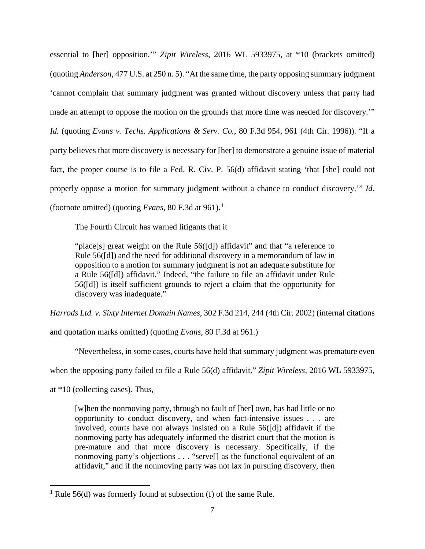essential to [her] opposition.'" *Zipit Wireless*, 2016 WL 5933975, at \*10 (brackets omitted) (quoting *Anderson*, 477 U.S. at 250 n. 5). "At the same time, the party opposing summary judgment 'cannot complain that summary judgment was granted without discovery unless that party had made an attempt to oppose the motion on the grounds that more time was needed for discovery.'" *Id.* (quoting *Evans v. Techs. Applications & Serv. Co.*, 80 F.3d 954, 961 (4th Cir. 1996)). "If a party believes that more discovery is necessary for [her] to demonstrate a genuine issue of material fact, the proper course is to file a Fed. R. Civ. P. 56(d) affidavit stating 'that [she] could not properly oppose a motion for summary judgment without a chance to conduct discovery.'" *Id.* (footnote omitted) (quoting *Evans*, 80 F.3d at 96[1](#page-6-0)).<sup>1</sup>

The Fourth Circuit has warned litigants that it

"place[s] great weight on the Rule 56([d]) affidavit" and that "a reference to Rule 56([d]) and the need for additional discovery in a memorandum of law in opposition to a motion for summary judgment is not an adequate substitute for a Rule 56([d]) affidavit." Indeed, "the failure to file an affidavit under Rule 56([d]) is itself sufficient grounds to reject a claim that the opportunity for discovery was inadequate."

*Harrods Ltd. v. Sixty Internet Domain Names*, 302 F.3d 214, 244 (4th Cir. 2002) (internal citations

and quotation marks omitted) (quoting *Evans*, 80 F.3d at 961.)

"Nevertheless, in some cases, courts have held that summary judgment was premature even

when the opposing party failed to file a Rule 56(d) affidavit." *Zipit Wireless*, 2016 WL 5933975,

at \*10 (collecting cases). Thus,

 $\overline{a}$ 

[w]hen the nonmoving party, through no fault of [her] own, has had little or no opportunity to conduct discovery, and when fact-intensive issues . . . are involved, courts have not always insisted on a Rule 56([d]) affidavit if the nonmoving party has adequately informed the district court that the motion is pre-mature and that more discovery is necessary. Specifically, if the nonmoving party's objections . . . "serve[] as the functional equivalent of an affidavit," and if the nonmoving party was not lax in pursuing discovery, then

<span id="page-6-0"></span><sup>&</sup>lt;sup>1</sup> Rule 56(d) was formerly found at subsection (f) of the same Rule.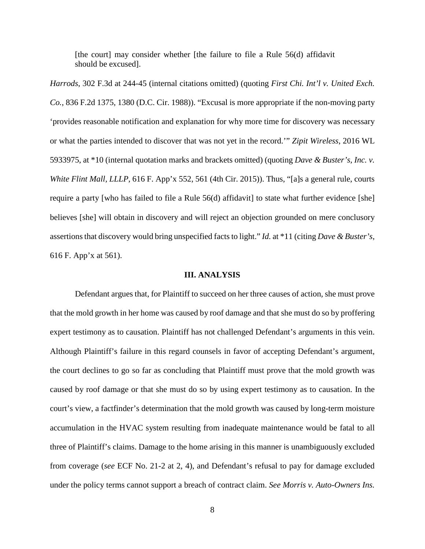[the court] may consider whether [the failure to file a Rule 56(d) affidavit should be excused].

*Harrods*, 302 F.3d at 244-45 (internal citations omitted) (quoting *First Chi. Int'l v. United Exch. Co.*, 836 F.2d 1375, 1380 (D.C. Cir. 1988)). "Excusal is more appropriate if the non-moving party 'provides reasonable notification and explanation for why more time for discovery was necessary or what the parties intended to discover that was not yet in the record.'" *Zipit Wireless*, 2016 WL 5933975, at \*10 (internal quotation marks and brackets omitted) (quoting *Dave & Buster's, Inc. v. White Flint Mall, LLLP*, 616 F. App'x 552, 561 (4th Cir. 2015)). Thus, "[a]s a general rule, courts require a party [who has failed to file a Rule 56(d) affidavit] to state what further evidence [she] believes [she] will obtain in discovery and will reject an objection grounded on mere conclusory assertions that discovery would bring unspecified facts to light." *Id.* at \*11 (citing *Dave & Buster's*, 616 F. App'x at 561).

#### **III. ANALYSIS**

 Defendant argues that, for Plaintiff to succeed on her three causes of action, she must prove that the mold growth in her home was caused by roof damage and that she must do so by proffering expert testimony as to causation. Plaintiff has not challenged Defendant's arguments in this vein. Although Plaintiff's failure in this regard counsels in favor of accepting Defendant's argument, the court declines to go so far as concluding that Plaintiff must prove that the mold growth was caused by roof damage or that she must do so by using expert testimony as to causation. In the court's view, a factfinder's determination that the mold growth was caused by long-term moisture accumulation in the HVAC system resulting from inadequate maintenance would be fatal to all three of Plaintiff's claims. Damage to the home arising in this manner is unambiguously excluded from coverage (*see* ECF No. 21-2 at 2, 4), and Defendant's refusal to pay for damage excluded under the policy terms cannot support a breach of contract claim. *See Morris v. Auto-Owners Ins.*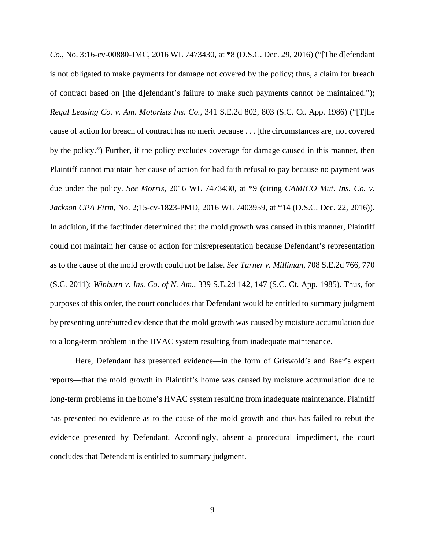*Co.*, No. 3:16-cv-00880-JMC, 2016 WL 7473430, at \*8 (D.S.C. Dec. 29, 2016) ("[The d]efendant is not obligated to make payments for damage not covered by the policy; thus, a claim for breach of contract based on [the d]efendant's failure to make such payments cannot be maintained."); *Regal Leasing Co. v. Am. Motorists Ins. Co.*, 341 S.E.2d 802, 803 (S.C. Ct. App. 1986) ("[T]he cause of action for breach of contract has no merit because . . . [the circumstances are] not covered by the policy.") Further, if the policy excludes coverage for damage caused in this manner, then Plaintiff cannot maintain her cause of action for bad faith refusal to pay because no payment was due under the policy. *See Morris*, 2016 WL 7473430, at \*9 (citing *CAMICO Mut. Ins. Co. v. Jackson CPA Firm*, No. 2;15-cv-1823-PMD, 2016 WL 7403959, at \*14 (D.S.C. Dec. 22, 2016)). In addition, if the factfinder determined that the mold growth was caused in this manner, Plaintiff could not maintain her cause of action for misrepresentation because Defendant's representation as to the cause of the mold growth could not be false. *See Turner v. Milliman*, 708 S.E.2d 766, 770 (S.C. 2011); *Winburn v. Ins. Co. of N. Am.*, 339 S.E.2d 142, 147 (S.C. Ct. App. 1985). Thus, for purposes of this order, the court concludes that Defendant would be entitled to summary judgment by presenting unrebutted evidence that the mold growth was caused by moisture accumulation due to a long-term problem in the HVAC system resulting from inadequate maintenance.

Here, Defendant has presented evidence—in the form of Griswold's and Baer's expert reports—that the mold growth in Plaintiff's home was caused by moisture accumulation due to long-term problems in the home's HVAC system resulting from inadequate maintenance. Plaintiff has presented no evidence as to the cause of the mold growth and thus has failed to rebut the evidence presented by Defendant. Accordingly, absent a procedural impediment, the court concludes that Defendant is entitled to summary judgment.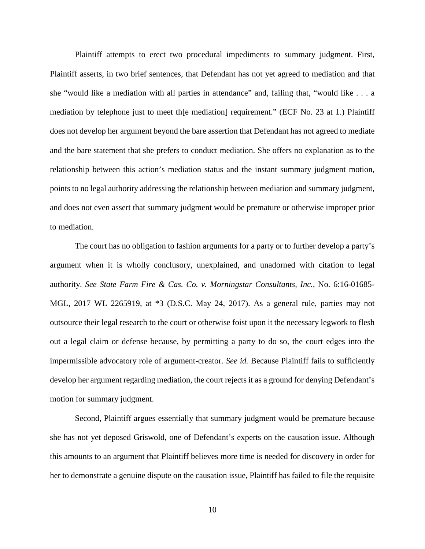Plaintiff attempts to erect two procedural impediments to summary judgment. First, Plaintiff asserts, in two brief sentences, that Defendant has not yet agreed to mediation and that she "would like a mediation with all parties in attendance" and, failing that, "would like . . . a mediation by telephone just to meet th[e mediation] requirement." (ECF No. 23 at 1.) Plaintiff does not develop her argument beyond the bare assertion that Defendant has not agreed to mediate and the bare statement that she prefers to conduct mediation. She offers no explanation as to the relationship between this action's mediation status and the instant summary judgment motion, points to no legal authority addressing the relationship between mediation and summary judgment, and does not even assert that summary judgment would be premature or otherwise improper prior to mediation.

The court has no obligation to fashion arguments for a party or to further develop a party's argument when it is wholly conclusory, unexplained, and unadorned with citation to legal authority. *See State Farm Fire & Cas. Co. v. Morningstar Consultants, Inc.*, No. 6:16-01685- MGL, 2017 WL 2265919, at \*3 (D.S.C. May 24, 2017). As a general rule, parties may not outsource their legal research to the court or otherwise foist upon it the necessary legwork to flesh out a legal claim or defense because, by permitting a party to do so, the court edges into the impermissible advocatory role of argument-creator. *See id.* Because Plaintiff fails to sufficiently develop her argument regarding mediation, the court rejects it as a ground for denying Defendant's motion for summary judgment.

Second, Plaintiff argues essentially that summary judgment would be premature because she has not yet deposed Griswold, one of Defendant's experts on the causation issue. Although this amounts to an argument that Plaintiff believes more time is needed for discovery in order for her to demonstrate a genuine dispute on the causation issue, Plaintiff has failed to file the requisite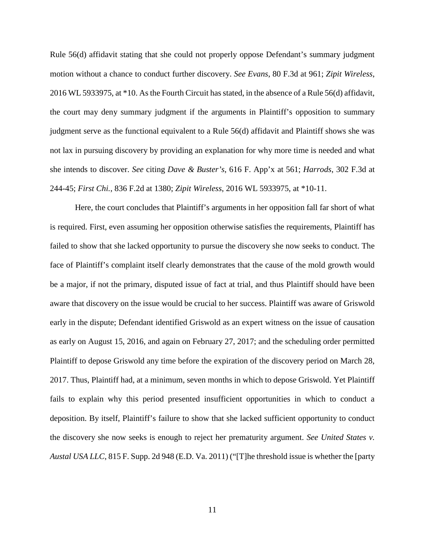Rule 56(d) affidavit stating that she could not properly oppose Defendant's summary judgment motion without a chance to conduct further discovery. *See Evans*, 80 F.3d at 961; *Zipit Wireless*, 2016 WL 5933975, at \*10. As the Fourth Circuit has stated, in the absence of a Rule 56(d) affidavit, the court may deny summary judgment if the arguments in Plaintiff's opposition to summary judgment serve as the functional equivalent to a Rule 56(d) affidavit and Plaintiff shows she was not lax in pursuing discovery by providing an explanation for why more time is needed and what she intends to discover. *See* citing *Dave & Buster's*, 616 F. App'x at 561; *Harrods*, 302 F.3d at 244-45; *First Chi.*, 836 F.2d at 1380; *Zipit Wireless*, 2016 WL 5933975, at \*10-11.

Here, the court concludes that Plaintiff's arguments in her opposition fall far short of what is required. First, even assuming her opposition otherwise satisfies the requirements, Plaintiff has failed to show that she lacked opportunity to pursue the discovery she now seeks to conduct. The face of Plaintiff's complaint itself clearly demonstrates that the cause of the mold growth would be a major, if not the primary, disputed issue of fact at trial, and thus Plaintiff should have been aware that discovery on the issue would be crucial to her success. Plaintiff was aware of Griswold early in the dispute; Defendant identified Griswold as an expert witness on the issue of causation as early on August 15, 2016, and again on February 27, 2017; and the scheduling order permitted Plaintiff to depose Griswold any time before the expiration of the discovery period on March 28, 2017. Thus, Plaintiff had, at a minimum, seven months in which to depose Griswold. Yet Plaintiff fails to explain why this period presented insufficient opportunities in which to conduct a deposition. By itself, Plaintiff's failure to show that she lacked sufficient opportunity to conduct the discovery she now seeks is enough to reject her prematurity argument. *See United States v. Austal USA LLC*, 815 F. Supp. 2d 948 (E.D. Va. 2011) ("[T]he threshold issue is whether the [party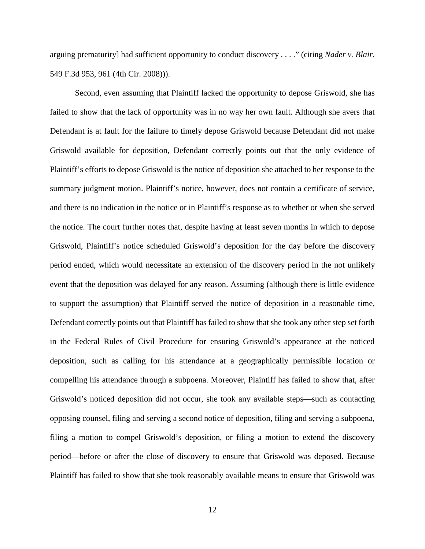arguing prematurity] had sufficient opportunity to conduct discovery . . . ." (citing *Nader v. Blair*, 549 F.3d 953, 961 (4th Cir. 2008))).

Second, even assuming that Plaintiff lacked the opportunity to depose Griswold, she has failed to show that the lack of opportunity was in no way her own fault. Although she avers that Defendant is at fault for the failure to timely depose Griswold because Defendant did not make Griswold available for deposition, Defendant correctly points out that the only evidence of Plaintiff's efforts to depose Griswold is the notice of deposition she attached to her response to the summary judgment motion. Plaintiff's notice, however, does not contain a certificate of service, and there is no indication in the notice or in Plaintiff's response as to whether or when she served the notice. The court further notes that, despite having at least seven months in which to depose Griswold, Plaintiff's notice scheduled Griswold's deposition for the day before the discovery period ended, which would necessitate an extension of the discovery period in the not unlikely event that the deposition was delayed for any reason. Assuming (although there is little evidence to support the assumption) that Plaintiff served the notice of deposition in a reasonable time, Defendant correctly points out that Plaintiff has failed to show that she took any other step set forth in the Federal Rules of Civil Procedure for ensuring Griswold's appearance at the noticed deposition, such as calling for his attendance at a geographically permissible location or compelling his attendance through a subpoena. Moreover, Plaintiff has failed to show that, after Griswold's noticed deposition did not occur, she took any available steps—such as contacting opposing counsel, filing and serving a second notice of deposition, filing and serving a subpoena, filing a motion to compel Griswold's deposition, or filing a motion to extend the discovery period—before or after the close of discovery to ensure that Griswold was deposed. Because Plaintiff has failed to show that she took reasonably available means to ensure that Griswold was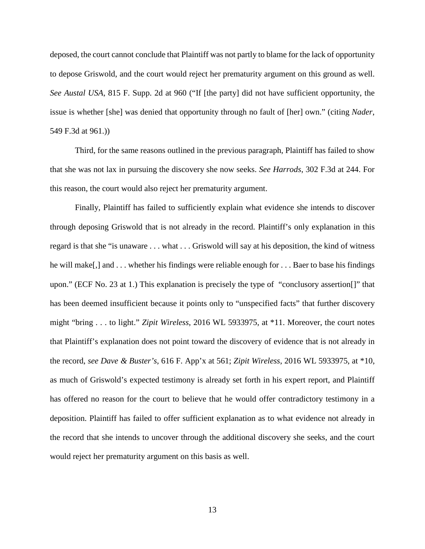deposed, the court cannot conclude that Plaintiff was not partly to blame for the lack of opportunity to depose Griswold, and the court would reject her prematurity argument on this ground as well. *See Austal USA*, 815 F. Supp. 2d at 960 ("If [the party] did not have sufficient opportunity, the issue is whether [she] was denied that opportunity through no fault of [her] own." (citing *Nader*, 549 F.3d at 961.))

Third, for the same reasons outlined in the previous paragraph, Plaintiff has failed to show that she was not lax in pursuing the discovery she now seeks. *See Harrods*, 302 F.3d at 244. For this reason, the court would also reject her prematurity argument.

Finally, Plaintiff has failed to sufficiently explain what evidence she intends to discover through deposing Griswold that is not already in the record. Plaintiff's only explanation in this regard is that she "is unaware . . . what . . . Griswold will say at his deposition, the kind of witness he will make[,] and . . . whether his findings were reliable enough for . . . Baer to base his findings upon." (ECF No. 23 at 1.) This explanation is precisely the type of "conclusory assertion[]" that has been deemed insufficient because it points only to "unspecified facts" that further discovery might "bring . . . to light." *Zipit Wireless*, 2016 WL 5933975, at \*11. Moreover, the court notes that Plaintiff's explanation does not point toward the discovery of evidence that is not already in the record, *see Dave & Buster's*, 616 F. App'x at 561; *Zipit Wireless*, 2016 WL 5933975, at \*10, as much of Griswold's expected testimony is already set forth in his expert report, and Plaintiff has offered no reason for the court to believe that he would offer contradictory testimony in a deposition. Plaintiff has failed to offer sufficient explanation as to what evidence not already in the record that she intends to uncover through the additional discovery she seeks, and the court would reject her prematurity argument on this basis as well.